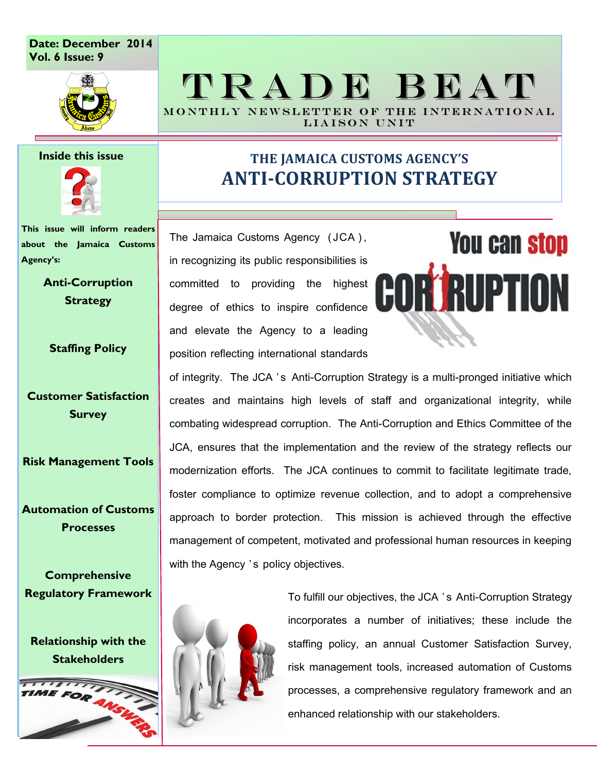### **Date: December 2014 Vol. 6 Issue: 9**



### TRADE BEAT MONTHLY NEWSLETTER OF THE INTERNATIONAL

LIAISON UNIT

#### **Inside this issue**



**This issue will inform readers about the Jamaica Customs Agency's:**

> **Anti-Corruption Strategy**

**Staffing Policy**

**Customer Satisfaction Survey**

**Risk Management Tools**

**Automation of Customs Processes**

**Comprehensive Regulatory Framework**

**Relationship with the Stakeholders**



### **THE JAMAICA CUSTOMS AGENCY'S ANTI-CORRUPTION STRATEGY**

The Jamaica Customs Agency (JCA), in recognizing its public responsibilities is committed to providing the highest degree of ethics to inspire confidence and elevate the Agency to a leading position reflecting international standards

# **You can stop CORTRUPTION**

of integrity. The JCA 's Anti-Corruption Strategy is a multi-pronged initiative which creates and maintains high levels of staff and organizational integrity, while combating widespread corruption. The Anti-Corruption and Ethics Committee of the JCA, ensures that the implementation and the review of the strategy reflects our modernization efforts. The JCA continues to commit to facilitate legitimate trade, foster compliance to optimize revenue collection, and to adopt a comprehensive approach to border protection. This mission is achieved through the effective management of competent, motivated and professional human resources in keeping with the Agency 's policy objectives.



To fulfill our objectives, the JCA ' s Anti-Corruption Strategy incorporates a number of initiatives; these include the staffing policy, an annual Customer Satisfaction Survey, risk management tools, increased automation of Customs processes, a comprehensive regulatory framework and an enhanced relationship with our stakeholders.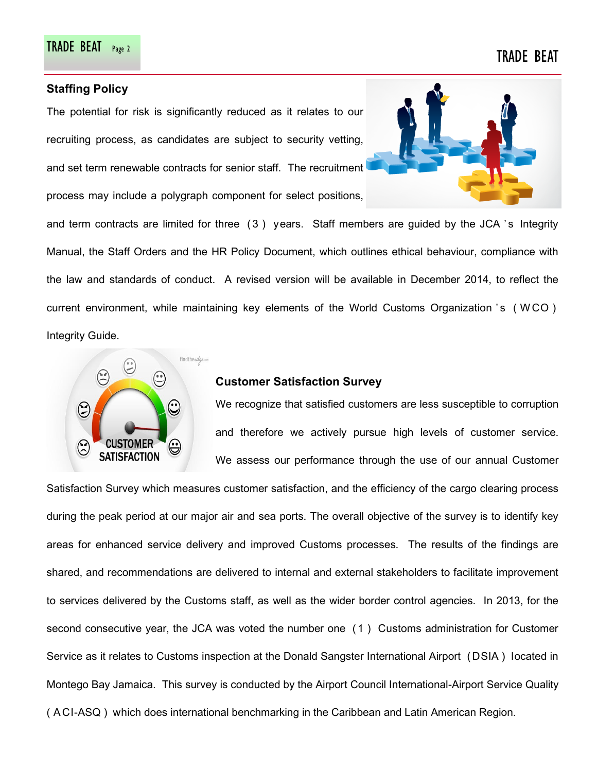### **Staffing Policy**

The potential for risk is significantly reduced as it relates to our recruiting process, as candidates are subject to security vetting, and set term renewable contracts for senior staff. The recruitment process may include a polygraph component for select positions,



and term contracts are limited for three  $(3)$  years. Staff members are guided by the JCA 's Integrity Manual, the Staff Orders and the HR Policy Document, which outlines ethical behaviour, compliance with the law and standards of conduct. A revised version will be available in December 2014, to reflect the current environment, while maintaining key elements of the World Customs Organization 's (WCO) Integrity Guide.



### **Customer Satisfaction Survey**

We recognize that satisfied customers are less susceptible to corruption and therefore we actively pursue high levels of customer service. We assess our performance through the use of our annual Customer

Satisfaction Survey which measures customer satisfaction, and the efficiency of the cargo clearing process during the peak period at our major air and sea ports. The overall objective of the survey is to identify key areas for enhanced service delivery and improved Customs processes. The results of the findings are shared, and recommendations are delivered to internal and external stakeholders to facilitate improvement to services delivered by the Customs staff, as well as the wider border control agencies. In 2013, for the second consecutive year, the JCA was voted the number one ( 1 ) Customs administration for Customer Service as it relates to Customs inspection at the Donald Sangster International Airport ( DSIA ) located in Montego Bay Jamaica. This survey is conducted by the Airport Council International-Airport Service Quality ( A CI-ASQ ) which does international benchmarking in the Caribbean and Latin American Region.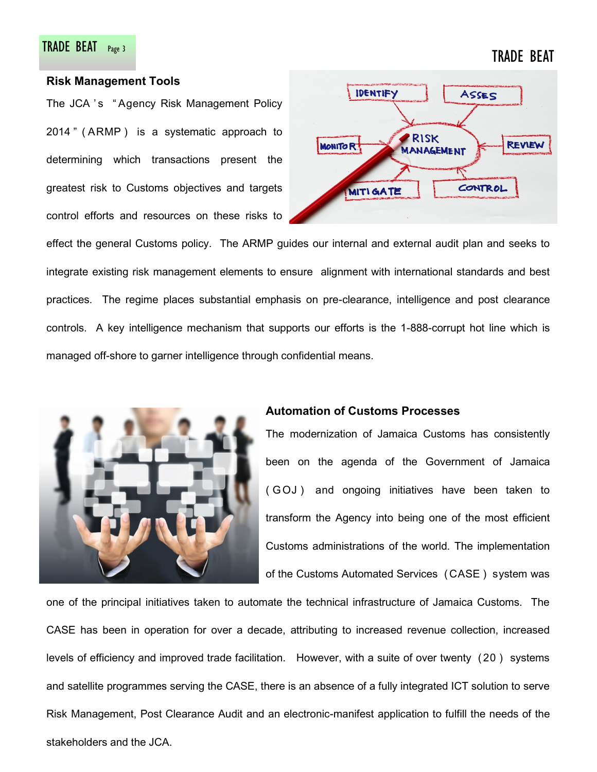# TRADE BEAT Page 3 TRADE BEAT

### **Risk Management Tools**

The JCA 's "Agency Risk Management Policy 2014 " ( ARMP ) is a systematic approach to determining which transactions present the greatest risk to Customs objectives and targets control efforts and resources on these risks to



effect the general Customs policy. The ARMP guides our internal and external audit plan and seeks to integrate existing risk management elements to ensure alignment with international standards and best practices. The regime places substantial emphasis on pre-clearance, intelligence and post clearance controls. A key intelligence mechanism that supports our efforts is the 1-888-corrupt hot line which is managed off-shore to garner intelligence through confidential means.



### **Automation of Customs Processes**

The modernization of Jamaica Customs has consistently been on the agenda of the Government of Jamaica ( G OJ ) and ongoing initiatives have been taken to transform the Agency into being one of the most efficient Customs administrations of the world. The implementation of the Customs Automated Services ( CASE ) system was

one of the principal initiatives taken to automate the technical infrastructure of Jamaica Customs. The CASE has been in operation for over a decade, attributing to increased revenue collection, increased levels of efficiency and improved trade facilitation. However, with a suite of over twenty ( 20 ) systems and satellite programmes serving the CASE, there is an absence of a fully integrated ICT solution to serve Risk Management, Post Clearance Audit and an electronic-manifest application to fulfill the needs of the stakeholders and the JCA.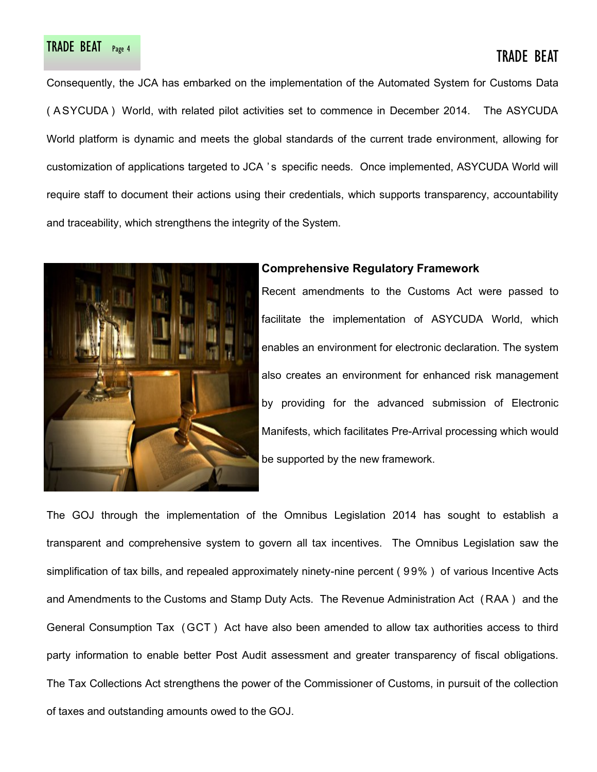# TRADE BEAT Page 4 TRADE BEAT PAGE 4 TRADE BEAT

Consequently, the JCA has embarked on the implementation of the Automated System for Customs Data ( A SYCUDA ) World, with related pilot activities set to commence in December 2014. The ASYCUDA World platform is dynamic and meets the global standards of the current trade environment, allowing for customization of applications targeted to JCA 's specific needs. Once implemented, ASYCUDA World will require staff to document their actions using their credentials, which supports transparency, accountability and traceability, which strengthens the integrity of the System.



### **Comprehensive Regulatory Framework**

Recent amendments to the Customs Act were passed to facilitate the implementation of ASYCUDA World, which enables an environment for electronic declaration. The system also creates an environment for enhanced risk management by providing for the advanced submission of Electronic Manifests, which facilitates Pre-Arrival processing which would be supported by the new framework.

The GOJ through the implementation of the Omnibus Legislation 2014 has sought to establish a transparent and comprehensive system to govern all tax incentives. The Omnibus Legislation saw the simplification of tax bills, and repealed approximately ninety-nine percent ( 9 9% ) of various Incentive Acts and Amendments to the Customs and Stamp Duty Acts. The Revenue Administration Act ( RAA ) and the General Consumption Tax ( GCT ) Act have also been amended to allow tax authorities access to third party information to enable better Post Audit assessment and greater transparency of fiscal obligations. The Tax Collections Act strengthens the power of the Commissioner of Customs, in pursuit of the collection of taxes and outstanding amounts owed to the GOJ.